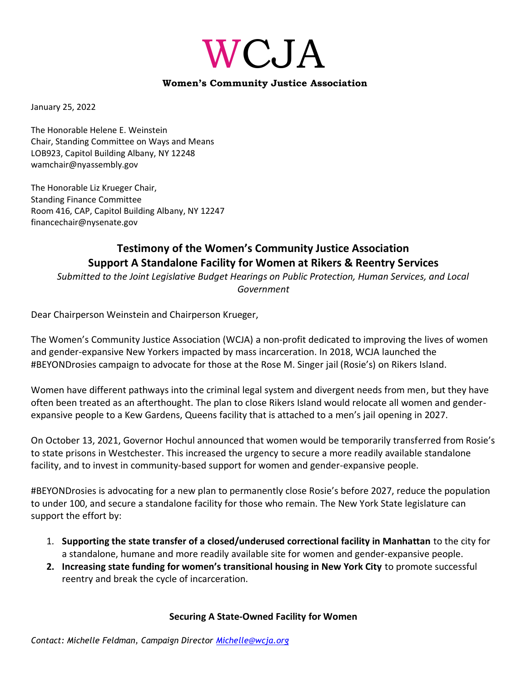# WCJA

#### **Women's Community Justice Association**

January 25, 2022

The Honorable Helene E. Weinstein Chair, Standing Committee on Ways and Means LOB923, Capitol Building Albany, NY 12248 wamchair@nyassembly.gov

The Honorable Liz Krueger Chair, Standing Finance Committee Room 416, CAP, Capitol Building Albany, NY 12247 financechair@nysenate.gov

# **Testimony of the Women's Community Justice Association Support A Standalone Facility for Women at Rikers & Reentry Services**

*Submitted to the Joint Legislative Budget Hearings on Public Protection, Human Services, and Local Government*

Dear Chairperson Weinstein and Chairperson Krueger,

The Women's Community Justice Association (WCJA) a non-profit dedicated to improving the lives of women and gender-expansive New Yorkers impacted by mass incarceration. In 2018, WCJA launched the #BEYONDrosies campaign to advocate for those at the Rose M. Singer jail (Rosie's) on Rikers Island.

Women have different pathways into the criminal legal system and divergent needs from men, but they have often been treated as an afterthought. The plan to close Rikers Island would relocate all women and genderexpansive people to a Kew Gardens, Queens facility that is attached to a men's jail opening in 2027.

On October 13, 2021, Governor Hochul announced that women would be temporarily transferred from Rosie's to state prisons in Westchester. This increased the urgency to secure a more readily available standalone facility, and to invest in community-based support for women and gender-expansive people.

#BEYONDrosies is advocating for a new plan to permanently close Rosie's before 2027, reduce the population to under 100, and secure a standalone facility for those who remain. The New York State legislature can support the effort by:

- 1. **Supporting the state transfer of a closed/underused correctional facility in Manhattan** to the city for a standalone, humane and more readily available site for women and gender-expansive people.
- **2. Increasing state funding for women's transitional housing in New York City** to promote successful reentry and break the cycle of incarceration.

#### **Securing A State-Owned Facility for Women**

*Contact: Michelle Feldman, Campaign Director [Michelle@wcja.org](mailto:Michelle@wcja.org)*